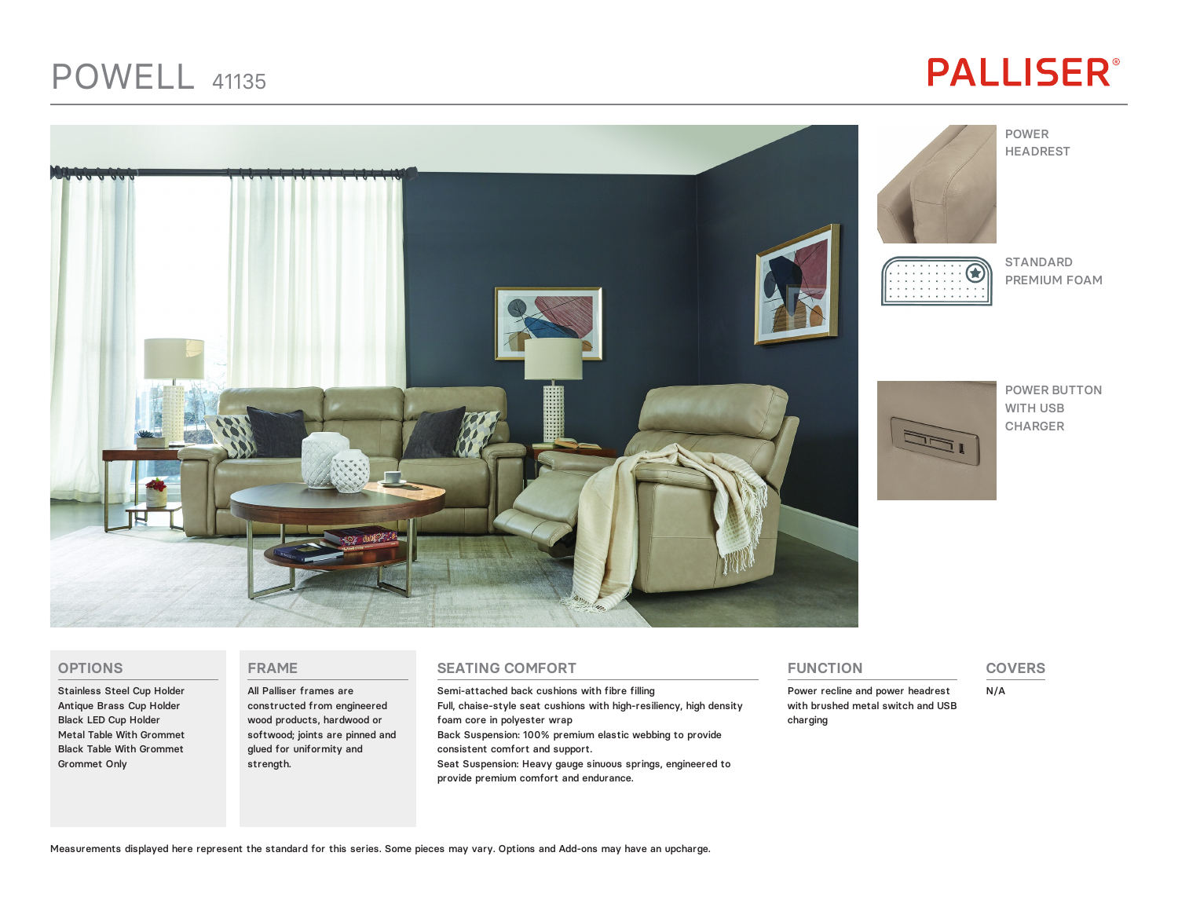## POWELL 41135

# **PALLISER®**





POWER HEADREST

### STANDARD Æ

PREMIUM FOAM



POWER BUTTON WITH USB CHARGER

#### **OPTIONS**

Stainless Steel Cup Holder Antique Brass Cup Holder Black LED Cup Holder Metal Table With Grommet Black Table With Grommet Grommet Only

#### **FRAME**

All Palliser frames are constructed from engineered wood products, hardwood or softwood; joints are pinned and glued for uniformity and strength.

#### **SEATING COMFORT**

Semi-attached back cushions with fibre filling Full, chaise-style seat cushions with high-resiliency, high density foam core in polyester wrap Back Suspension: 100% premium elastic webbing to provide consistent comfort and support. Seat Suspension: Heavy gauge sinuous springs, engineered to provide premium comfort and endurance.

#### **FUNCTION**

Power recline and power headrest with brushed metal switch and USB charging

#### **COVERS**

N/A

Measurements displayed here represent the standard for this series. Some pieces may vary. Options and Add-ons may have an upcharge.